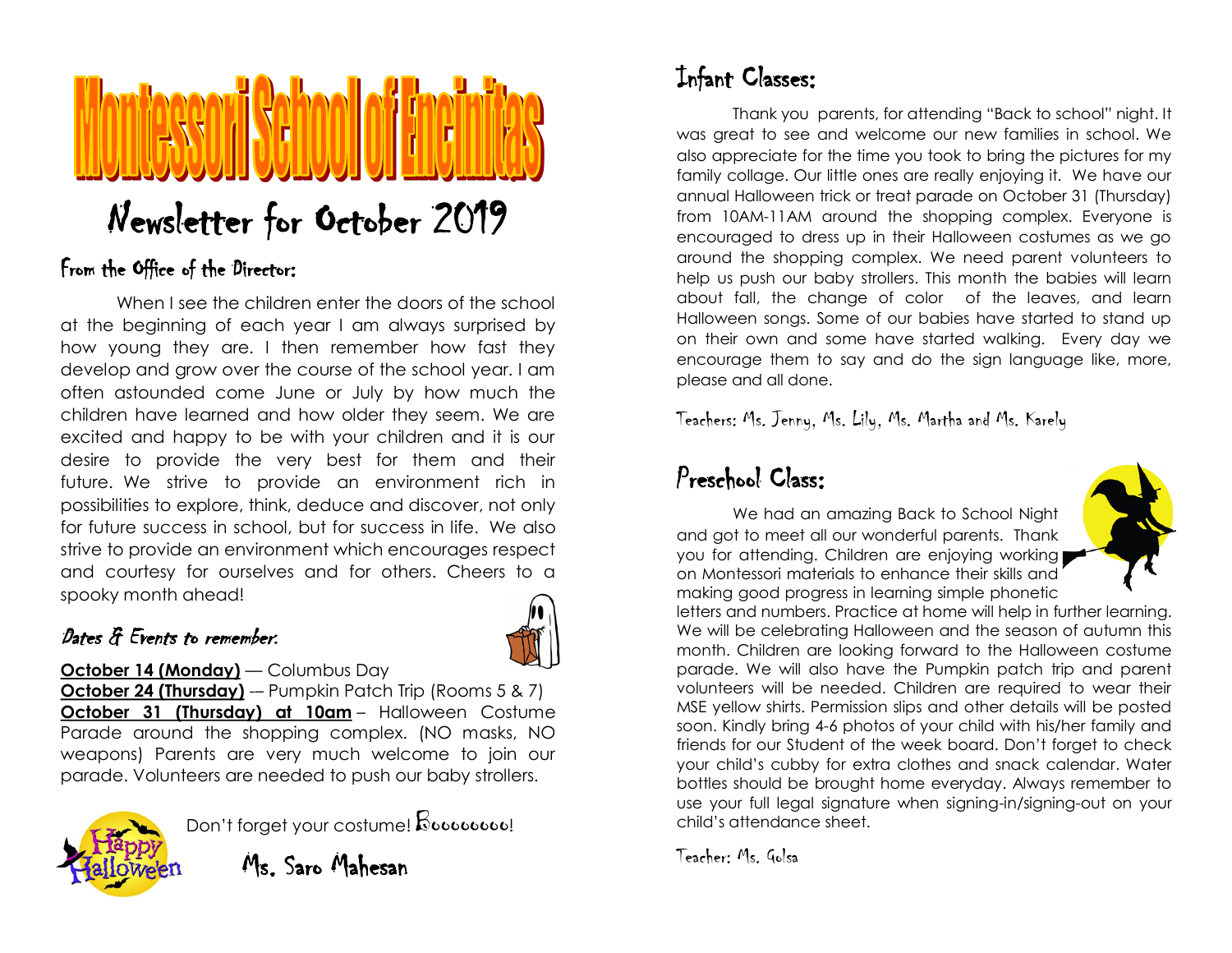# Newsletter for October 2019

#### From the Office of the Director:

When I see the children enter the doors of the school at the beginning of each year I am always surprised by how young they are. I then remember how fast they develop and grow over the course of the school year. I am often astounded come June or July by how much the children have learned and how older they seem. We are excited and happy to be with your children and it is our desire to provide the very best for them and their future. We strive to provide an environment rich in possibilities to explore, think, deduce and discover, not only for future success in school, but for success in life. We also strive to provide an environment which encourages respect and courtesy for ourselves and for others. Cheers to a spooky month ahead!

#### Dates & Events to remember:



#### **October 14 (Monday)** — Columbus Day

**October 24 (Thursday)** -– Pumpkin Patch Trip (Rooms 5 & 7) **October 31 (Thursday) at 10am** – Halloween Costume Parade around the shopping complex. (NO masks, NO weapons) Parents are very much welcome to join our parade. Volunteers are needed to push our baby strollers.



Don't forget your costume! Boooooooo!

Ms. Saro Mahesan

# Infant Classes:

Thank you parents, for attending "Back to school" night. It was great to see and welcome our new families in school. We also appreciate for the time you took to bring the pictures for my family collage. Our little ones are really enjoying it. We have our annual Halloween trick or treat parade on October 31 (Thursday) from 10AM-11AM around the shopping complex. Everyone is encouraged to dress up in their Halloween costumes as we go around the shopping complex. We need parent volunteers to help us push our baby strollers. This month the babies will learn about fall, the change of color of the leaves, and learn Halloween songs. Some of our babies have started to stand up on their own and some have started walking. Every day we encourage them to say and do the sign language like, more, please and all done.

Teachers: Ms. Jenny, Ms. Lily, Ms. Martha and Ms. Karely

## Preschool Class:

 We had an amazing Back to School Night and got to meet all our wonderful parents. Thank you for attending. Children are enjoying working on Montessori materials to enhance their skills and making good progress in learning simple phonetic



letters and numbers. Practice at home will help in further learning. We will be celebrating Halloween and the season of autumn this month. Children are looking forward to the Halloween costume parade. We will also have the Pumpkin patch trip and parent volunteers will be needed. Children are required to wear their MSE yellow shirts. Permission slips and other details will be posted soon. Kindly bring 4-6 photos of your child with his/her family and friends for our Student of the week board. Don't forget to check your child's cubby for extra clothes and snack calendar. Water bottles should be brought home everyday. Always remember to use your full legal signature when signing-in/signing-out on your child's attendance sheet.

Teacher: Ms. Golsa